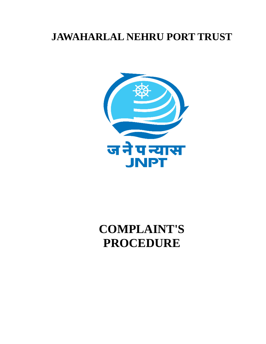# **JAWAHARLAL NEHRU PORT TRUST**



# **COMPLAINT'S PROCEDURE**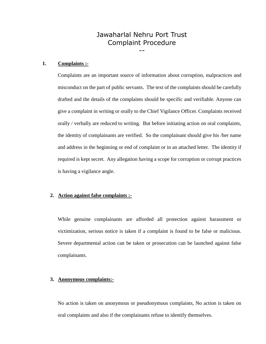# Jawaharlal Nehru Port Trust Complaint Procedure

--

#### **1. Complaints :-**

Complaints are an important source of information about corruption, malpractices and misconduct on the part of public servants. The text of the complaints should be carefully drafted and the details of the complaints should be specific and verifiable. Anyone can give a complaint in writing or orally to the Chief Vigilance Officer. Complaints received orally / verbally are reduced to writing. But before initiating action on oral complaints, the identity of complainants are verified. So the complainant should give his /her name and address in the beginning or end of complaint or in an attached letter. The identity if required is kept secret. Any allegation having a scope for corruption or corrupt practices is having a vigilance angle.

#### **2. Action against false complaints :-**

While genuine complainants are afforded all protection against harassment or victimization, serious notice is taken if a complaint is found to be false or malicious. Severe departmental action can be taken or prosecution can be launched against false complainants.

## **3. Anonymous complaints:-**

No action is taken on anonymous or pseudonymous complaints, No action is taken on oral complaints and also if the complainants refuse to identify themselves.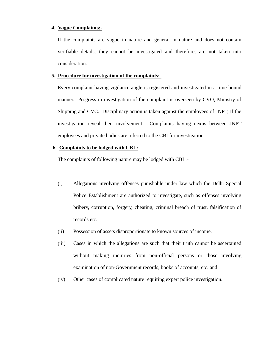#### **4. Vague Complaints:-**

If the complaints are vague in nature and general in nature and does not contain verifiable details, they cannot be investigated and therefore, are not taken into consideration.

#### **5. Procedure for investigation of the complaints:-**

Every complaint having vigilance angle is registered and investigated in a time bound manner. Progress in investigation of the complaint is overseen by CVO, Ministry of Shipping and CVC. Disciplinary action is taken against the employees of JNPT, if the investigation reveal their involvement. Complaints having nexus between JNPT employees and private bodies are referred to the CBI for investigation.

#### **6. Complaints to be lodged with CBI :**

The complaints of following nature may be lodged with CBI :-

- (i) Allegations involving offenses punishable under law which the Delhi Special Police Establishment are authorized to investigate, such as offenses involving bribery, corruption, forgery, cheating, criminal breach of trust, falsification of records etc.
- (ii) Possession of assets disproportionate to known sources of income.
- (iii) Cases in which the allegations are such that their truth cannot be ascertained without making inquiries from non-official persons or those involving examination of non-Government records, books of accounts, etc. and
- (iv) Other cases of complicated nature requiring expert police investigation.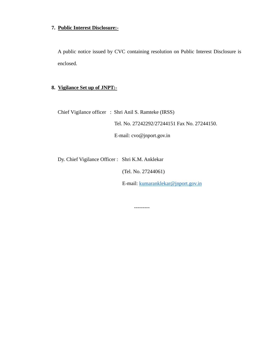# **7. Public Interest Disclosure:-**

A public notice issued by CVC containing resolution on Public Interest Disclosure is enclosed.

# **8. Vigilance Set up of JNPT:-**

Chief Vigilance officer : Shri Anil S. Ramteke (IRSS)

Tel. No. 27242292/27244151 Fax No. 27244150.

E-mail: cvo@jnport.gov.in

Dy. Chief Vigilance Officer : Shri K.M. Anklekar

(Tel. No. 27244061)

E-mail: [kumaranklekar@jnport.gov.in](mailto:kumaranklekar@jnport.gov.in)

---------